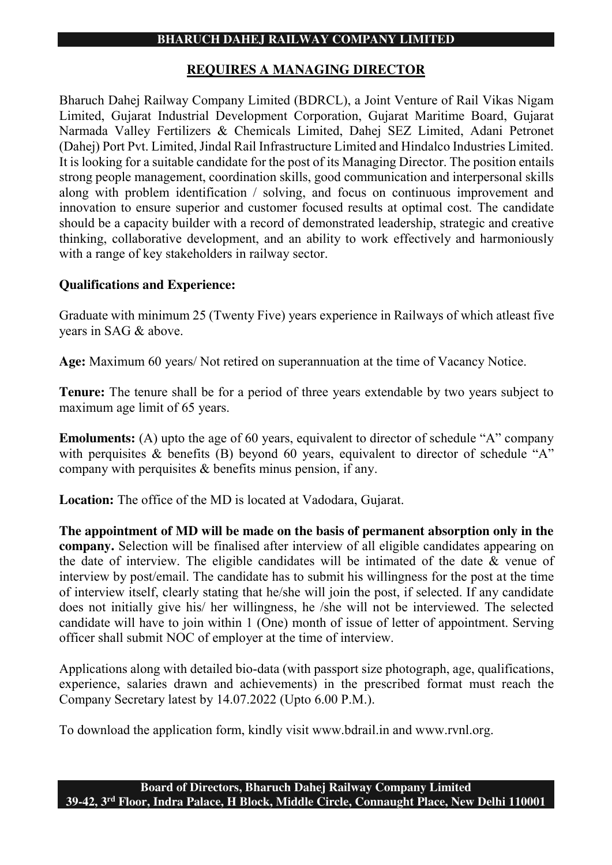## **BHARUCH DAHEJ RAILWAY COMPANY LIMITED**

# **REQUIRES A MANAGING DIRECTOR**

Bharuch Dahej Railway Company Limited (BDRCL), a Joint Venture of Rail Vikas Nigam Limited, Gujarat Industrial Development Corporation, Gujarat Maritime Board, Gujarat Narmada Valley Fertilizers & Chemicals Limited, Dahej SEZ Limited, Adani Petronet (Dahej) Port Pvt. Limited, Jindal Rail Infrastructure Limited and Hindalco Industries Limited. It is looking for a suitable candidate for the post of its Managing Director. The position entails strong people management, coordination skills, good communication and interpersonal skills along with problem identification / solving, and focus on continuous improvement and innovation to ensure superior and customer focused results at optimal cost. The candidate should be a capacity builder with a record of demonstrated leadership, strategic and creative thinking, collaborative development, and an ability to work effectively and harmoniously with a range of key stakeholders in railway sector.

# **Qualifications and Experience:**

Graduate with minimum 25 (Twenty Five) years experience in Railways of which atleast five years in SAG & above.

**Age:** Maximum 60 years/ Not retired on superannuation at the time of Vacancy Notice.

**Tenure:** The tenure shall be for a period of three years extendable by two years subject to maximum age limit of 65 years.

**Emoluments:** (A) upto the age of 60 years, equivalent to director of schedule "A" company with perquisites & benefits (B) beyond 60 years, equivalent to director of schedule "A" company with perquisites & benefits minus pension, if any.

**Location:** The office of the MD is located at Vadodara, Gujarat.

**The appointment of MD will be made on the basis of permanent absorption only in the company.** Selection will be finalised after interview of all eligible candidates appearing on the date of interview. The eligible candidates will be intimated of the date & venue of interview by post/email. The candidate has to submit his willingness for the post at the time of interview itself, clearly stating that he/she will join the post, if selected. If any candidate does not initially give his/ her willingness, he /she will not be interviewed. The selected candidate will have to join within 1 (One) month of issue of letter of appointment. Serving officer shall submit NOC of employer at the time of interview.

Applications along with detailed bio-data (with passport size photograph, age, qualifications, experience, salaries drawn and achievements) in the prescribed format must reach the Company Secretary latest by 14.07.2022 (Upto 6.00 P.M.).

To download the application form, kindly visit [www.bdrail.in](http://www.bdrail.in/) and [www.rvnl.org.](http://www.rvnl.org/)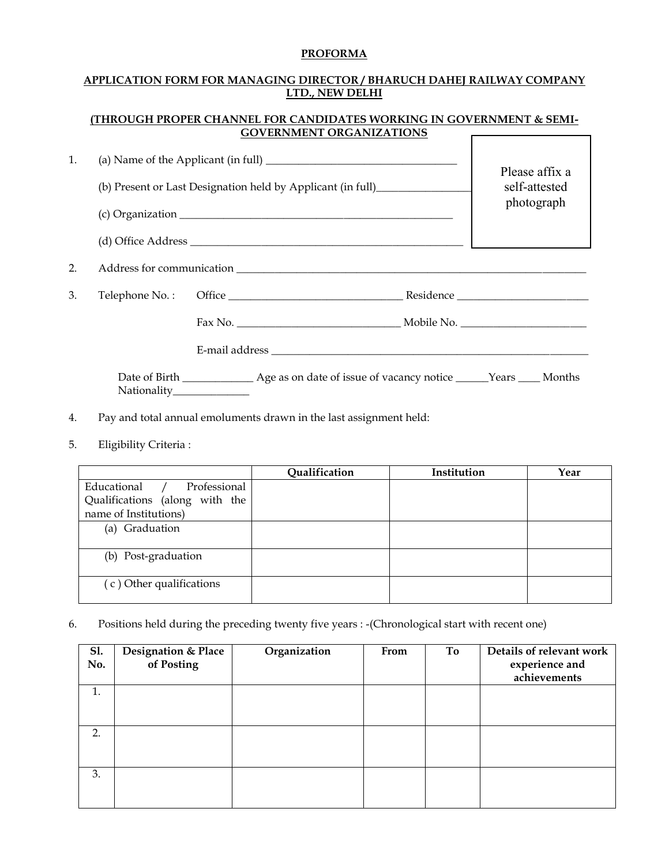### **PROFORMA**

#### **APPLICATION FORM FOR MANAGING DIRECTOR / BHARUCH DAHEJ RAILWAY COMPANY LTD., NEW DELHI**

#### **(THROUGH PROPER CHANNEL FOR CANDIDATES WORKING IN GOVERNMENT & SEMI-GOVERNMENT ORGANIZATIONS**   $\Gamma$

 $\overline{\mathsf{I}}$ 

| 1. | (a) Name of the Applicant (in full) $\frac{1}{2}$ $\frac{1}{2}$ $\frac{1}{2}$ $\frac{1}{2}$ $\frac{1}{2}$ $\frac{1}{2}$ $\frac{1}{2}$ $\frac{1}{2}$ $\frac{1}{2}$ $\frac{1}{2}$ $\frac{1}{2}$ $\frac{1}{2}$ $\frac{1}{2}$ $\frac{1}{2}$ $\frac{1}{2}$ $\frac{1}{2}$ $\frac{1}{2}$ $\frac{1}{2}$ $\frac{1$<br>(b) Present or Last Designation held by Applicant (in full) |  |  | Please affix a<br>self-attested<br>photograph |
|----|--------------------------------------------------------------------------------------------------------------------------------------------------------------------------------------------------------------------------------------------------------------------------------------------------------------------------------------------------------------------------|--|--|-----------------------------------------------|
|    |                                                                                                                                                                                                                                                                                                                                                                          |  |  |                                               |
|    |                                                                                                                                                                                                                                                                                                                                                                          |  |  |                                               |
| 2. | Address for communication                                                                                                                                                                                                                                                                                                                                                |  |  |                                               |
| 3. |                                                                                                                                                                                                                                                                                                                                                                          |  |  |                                               |
|    |                                                                                                                                                                                                                                                                                                                                                                          |  |  |                                               |
|    |                                                                                                                                                                                                                                                                                                                                                                          |  |  |                                               |
|    | Nationality______________                                                                                                                                                                                                                                                                                                                                                |  |  |                                               |

- 4. Pay and total annual emoluments drawn in the last assignment held:
- 5. Eligibility Criteria :

|                                | Qualification | Institution | Year |
|--------------------------------|---------------|-------------|------|
| Professional<br>Educational    |               |             |      |
| Qualifications (along with the |               |             |      |
| name of Institutions)          |               |             |      |
| (a) Graduation                 |               |             |      |
|                                |               |             |      |
| (b) Post-graduation            |               |             |      |
|                                |               |             |      |
| (c) Other qualifications       |               |             |      |
|                                |               |             |      |

6. Positions held during the preceding twenty five years : -(Chronological start with recent one)

| <b>Sl.</b><br>No. | Designation & Place<br>of Posting | Organization | From | To | Details of relevant work<br>experience and<br>achievements |
|-------------------|-----------------------------------|--------------|------|----|------------------------------------------------------------|
| 1.                |                                   |              |      |    |                                                            |
| 2.                |                                   |              |      |    |                                                            |
| 3.                |                                   |              |      |    |                                                            |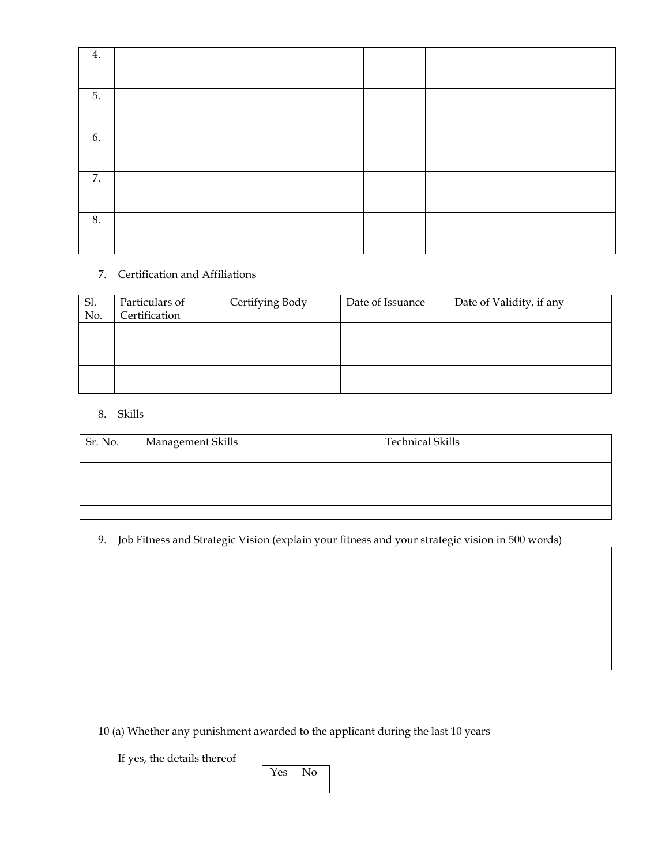| 4. |  |  |  |
|----|--|--|--|
| 5. |  |  |  |
| 6. |  |  |  |
| 7. |  |  |  |
| 8. |  |  |  |

### 7. Certification and Affiliations

| Sl.<br>No. | Particulars of<br>Certification | Certifying Body | Date of Issuance | Date of Validity, if any |
|------------|---------------------------------|-----------------|------------------|--------------------------|
|            |                                 |                 |                  |                          |
|            |                                 |                 |                  |                          |
|            |                                 |                 |                  |                          |
|            |                                 |                 |                  |                          |
|            |                                 |                 |                  |                          |

### 8. Skills

| Sr. No. | Management Skills | <b>Technical Skills</b> |
|---------|-------------------|-------------------------|
|         |                   |                         |
|         |                   |                         |
|         |                   |                         |
|         |                   |                         |
|         |                   |                         |

## 9. Job Fitness and Strategic Vision (explain your fitness and your strategic vision in 500 words)

10 (a) Whether any punishment awarded to the applicant during the last 10 years

If yes, the details thereof

Yes No